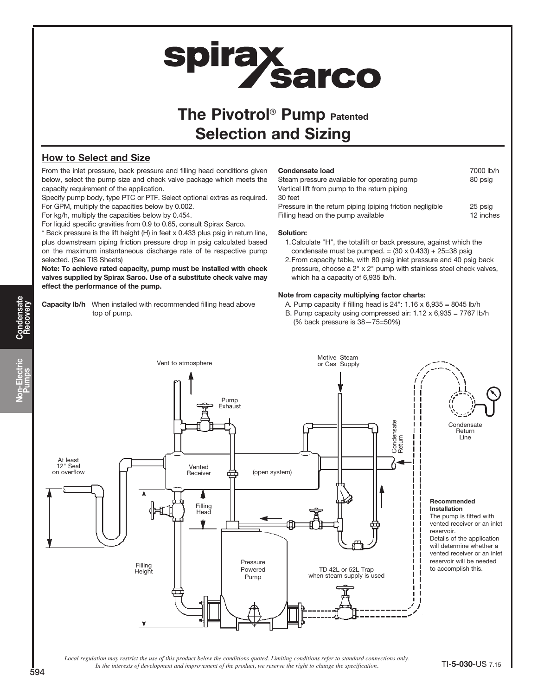# **spirax<br>Sarco**

# The Pivotrol<sup>®</sup> Pump Patented Selection and Sizing

### How to Select and Size

From the inlet pressure, back pressure and filling head conditions given below, select the pump size and check valve package which meets the capacity requirement of the application.

Specify pump body, type PTC or PTF. Select optional extras as required. For GPM, multiply the capacities below by 0.002.

For kg/h, multiply the capacities below by 0.454.

For liquid specific gravities from 0.9 to 0.65, consult Spirax Sarco.

\* Back pressure is the lift height (H) in feet x 0.433 plus psig in return line, plus downstream piping friction pressure drop in psig calculated based on the maximum instantaneous discharge rate of te respective pump selected. (See TIS Sheets)

Note: To achieve rated capacity, pump must be installed with check valves supplied by Spirax Sarco. Use of a substitute check valve may effect the performance of the pump.

Capacity lb/h When installed with recommended filling head above top of pump.

| <b>Condensate load</b><br>Steam pressure available for operating pump<br>Vertical lift from pump to the return piping | 7000 lb/h<br>80 psig |
|-----------------------------------------------------------------------------------------------------------------------|----------------------|
| 30 feet                                                                                                               |                      |
| Pressure in the return piping (piping friction negligible                                                             | 25 psig              |
| Filling head on the pump available                                                                                    | 12 inches            |

#### Solution:

- 1.Calculate "H", the totallift or back pressure, against which the condensate must be pumped. =  $(30 \times 0.433) + 25=38$  psig
- 2.From capacity table, with 80 psig inlet pressure and 40 psig back pressure, choose a 2" x 2" pump with stainless steel check valves, which ha a capacity of 6,935 lb/h.

#### Note from capacity multiplying factor charts:

- A. Pump capacity if filling head is  $24$ ":  $1.16 \times 6,935 = 8045$  lb/h
- B. Pump capacity using compressed air: 1.12 x 6,935 = 7767 lb/h (% back pressure is 38—75=50%)



*Local regulation may restrict the use of this product below the conditions quoted. Limiting conditions refer to standard connections only. In the interests of development and improvement of the product, we reserve the right to change the specification.* TI-5-030-US 7.15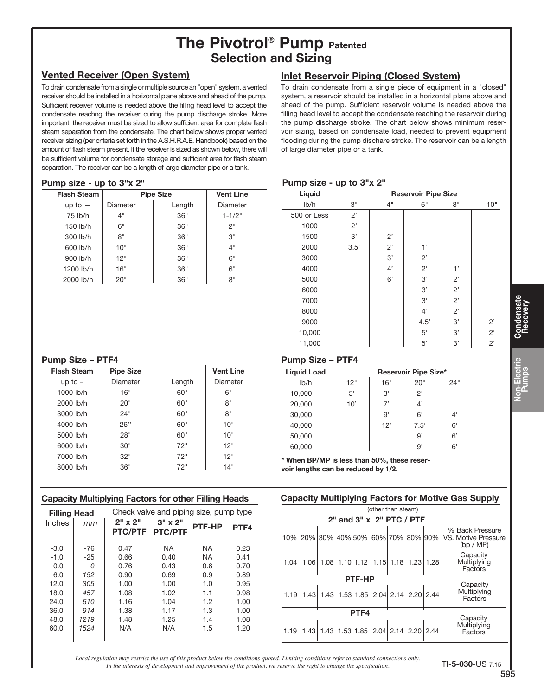# The Pivotrol<sup>®</sup> Pump Patented Selection and Sizing

## Vented Receiver (Open System)

To drain condensate from a single or multiple source an "open" system, a vented receiver should be installed in a horizontal plane above and ahead of the pump. Sufficient receiver volume is needed above the filling head level to accept the condensate reachng the receiver during the pump discharge stroke. More important, the receiver must be sized to allow sufficient area for complete flash steam separation from the condensate. The chart below shows proper vented receiver sizing (per criteria set forth in the A.S.H.R.A.E. Handbook) based on the amount of flash steam present. If the receiver is sized as shown below, there will be sufficient volume for condensate storage and sufficient area for flash steam separation. The receiver can be a length of large diameter pipe or a tank.

## Inlet Reservoir Piping (Closed System)

To drain condensate from a single piece of equipment in a "closed" system, a reservoir should be installed in a horizontal plane above and ahead of the pump. Sufficient reservoir volume is needed above the filling head level to accept the condensate reaching the reservoir during the pump discharge stroke. The chart below shows minimum reservoir sizing, based on condensate load, needed to prevent equipment flooding during the pump dischare stroke. The reservoir can be a length of large diameter pipe or a tank.

#### Pump size - up to 3"x 2"

| <b>Flash Steam</b> | <b>Pipe Size</b> | <b>Vent Line</b> |            |
|--------------------|------------------|------------------|------------|
| $up to -$          | Diameter         | Length           | Diameter   |
| 75 lb/h            | 4"               | 36"              | $1 - 1/2"$ |
| 150 lb/h           | 6"               | 36"              | 2"         |
| 300 lb/h           | 8"               | 36"              | 3"         |
| 600 lb/h           | 10"              | 36"              | 4"         |
| 900 lb/h           | 12"              | 36"              | 6"         |
| 1200 lb/h          | 16"              | 36"              | 6"         |
| 2000 lb/h          | 20"              | 36"              | 8"         |

#### Pump size - up to 3"x 2"

|             | ╍╍                         |              |      |    |     |
|-------------|----------------------------|--------------|------|----|-----|
| Liquid      | <b>Reservoir Pipe Size</b> |              |      |    |     |
| Ib/h        | 3"                         | 4"           | 6"   | 8" | 10" |
| 500 or Less | 2'                         |              |      |    |     |
| 1000        | 2'                         |              |      |    |     |
| 1500        | 3'                         | $2^{\prime}$ |      |    |     |
| 2000        | 3.5'                       | 2'           | 1'   |    |     |
| 3000        |                            | 3'           | 2'   |    |     |
| 4000        |                            | 4'           | 2'   | 1' |     |
| 5000        |                            | 6'           | 3'   | 2' |     |
| 6000        |                            |              | 3'   | 2' |     |
| 7000        |                            |              | 3'   | 2' |     |
| 8000        |                            |              | 4'   | 2' |     |
| 9000        |                            |              | 4.5' | 3' | 2'  |
| 10,000      |                            |              | 5'   | 3' | 2'  |
| 11,000      |                            |              | 5'   | 3' | 2'  |

#### Pump Size – PTF4

| <b>Flash Steam</b> | <b>Pipe Size</b> |        | <b>Vent Line</b> |
|--------------------|------------------|--------|------------------|
|                    |                  |        |                  |
| up to $-$          | Diameter         | Length | Diameter         |
| 1000 lb/h          | 16"              | 60"    | 6"               |
| 2000 lb/h          | 20"              | 60"    | 8"               |
| 3000 lb/h          | 24"              | 60"    | 8"               |
| 4000 lb/h          | 26"              | 60"    | 10"              |
| 5000 lb/h          | 28"              | 60"    | 10"              |
| 6000 lb/h          | 30"              | 72"    | 12"              |
| 7000 lb/h          | 32"              | 72"    | 12"              |
| 8000 lb/h          | 36"              | 72"    | 14"              |

#### Capacity Multiplying Factors for other Filling Heads

| Check valve and piping size, pump type<br><b>Filling Head</b> |       |                                    |                                    |           |      |
|---------------------------------------------------------------|-------|------------------------------------|------------------------------------|-----------|------|
| Inches                                                        | mm    | $2'' \times 2''$<br><b>PTC/PTF</b> | $3'' \times 2''$<br><b>PTC/PTF</b> | PTF-HP    | PTF4 |
| $-3.0$                                                        | $-76$ | 0.47                               | <b>NA</b>                          | <b>NA</b> | 0.23 |
| $-1.0$                                                        | $-25$ | 0.66                               | 0.40                               | <b>NA</b> | 0.41 |
| 0.0                                                           | O     | 0.76                               | 0.43                               | 0.6       | 0.70 |
| 6.0                                                           | 152   | 0.90                               | 0.69                               | 0.9       | 0.89 |
| 12.0                                                          | 305   | 1.00                               | 1.00                               | 1.0       | 0.95 |
| 18.0                                                          | 457   | 1.08                               | 1.02                               | 1.1       | 0.98 |
| 24.0                                                          | 610   | 1.16                               | 1.04                               | 1.2       | 1.00 |
| 36.0                                                          | 914   | 1.38                               | 1.17                               | 1.3       | 1.00 |
| 48.0                                                          | 1219  | 1.48                               | 1.25                               | 1.4       | 1.08 |
| 60.0                                                          | 1524  | N/A                                | N/A                                | 1.5       | 1.20 |

#### Pump Size – PTF4 Liquid Load **Reservoir Pipe Size\*** lb/h 12" 16" 20" 24" 10,000  $\vert$  5'  $\vert$  3'  $\vert$  2'  $20.000$  10' 7' 4'  $30,000$  | 9' | 6' | 4' 40,000 12' 7.5' 6' 50,000 9' 6' 60,000 | | 9' 6'

\* When BP/MP is less than 50%, these reser-

voir lengths can be reduced by 1/2.

#### Capacity Multiplying Factors for Motive Gas Supply

|      | (other than steam)                |                                                                                            |  |        |  |                          |                  |  |                                                     |
|------|-----------------------------------|--------------------------------------------------------------------------------------------|--|--------|--|--------------------------|------------------|--|-----------------------------------------------------|
|      | $2th$ and $3th$ x $2th$ PTC / PTF |                                                                                            |  |        |  |                          |                  |  |                                                     |
|      |                                   | 10% 20% 30% 40% 50% 60% 70% 80% 90%                                                        |  |        |  |                          |                  |  | % Back Pressure<br>VS. Motive Pressure<br>(bp / MP) |
| 1.04 | 1.06                              |                                                                                            |  |        |  | 1.08 1.10 1.12 1.15 1.18 | $1.23 \mid 1.28$ |  | Capacity<br>Multiplying<br>Factors                  |
|      |                                   |                                                                                            |  | PTF-HP |  |                          |                  |  |                                                     |
|      |                                   | $1.19\left 1.43\right 1.43\left 1.53\right 1.85\left 2.04\right 2.14\left 2.20\right 2.44$ |  |        |  |                          |                  |  | Capacity<br>Multiplying<br>Factors                  |
| PTF4 |                                   |                                                                                            |  |        |  |                          |                  |  |                                                     |
|      |                                   | $1.19 \mid 1.43 \mid 1.43 \mid 1.53 \mid 1.85 \mid 2.04 \mid 2.14 \mid 2.20 \mid 2.44$     |  |        |  |                          |                  |  | Capacity<br>Multiplying<br>Factors                  |

*Local regulation may restrict the use of this product below the conditions quoted. Limiting conditions refer to standard connections only. In the interests of development and improvement of the product, we reserve the right to change the specification.*

Condensate Recovery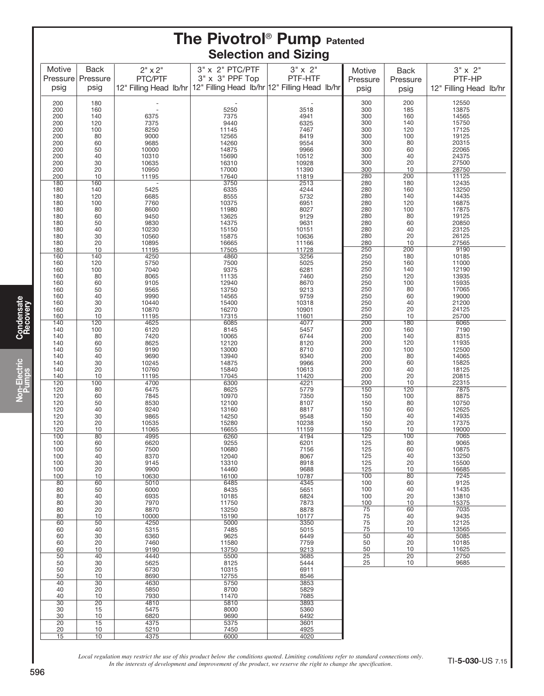|                 |                       |                |                                                                      | <b>The Pivotrol<sup>®</sup> Pump Patented</b> |            |                         |                        |
|-----------------|-----------------------|----------------|----------------------------------------------------------------------|-----------------------------------------------|------------|-------------------------|------------------------|
| Motive          | <b>Back</b>           | $2" \times 2"$ | 3" x 2" PTC/PTF                                                      | <b>Selection and Sizing</b><br>$3" \times 2"$ | Motive     |                         | $3" \times 2"$         |
| Pressure        | Pressure              | PTC/PTF        | 3" x 3" PPF Top                                                      | PTF-HTF                                       | Pressure   | <b>Back</b><br>Pressure | PTF-HP                 |
| psig            | psig                  |                | 12" Filling Head Ib/hr 12" Filling Head Ib/hr 12" Filling Head Ib/hr |                                               | psig       | psig                    | 12" Filling Head lb/hr |
| 200             | 180                   |                |                                                                      |                                               | 300        | 200                     | 12550                  |
| 200             | 160                   |                | 5250                                                                 | 3518                                          | 300        | 185                     | 13875<br>14565         |
| 200<br>200      | 140<br>120            | 6375<br>7375   | 7375<br>9440                                                         | 4941<br>6325                                  | 300<br>300 | 160<br>140              | 15750                  |
| 200             | 100                   | 8250           | 11145                                                                | 7467                                          | 300        | 120                     | 17125                  |
| 200<br>200      | 80<br>60              | 9000<br>9685   | 12565<br>14260                                                       | 8419<br>9554                                  | 300<br>300 | 100<br>80               | 19125<br>20315         |
| 200             | 50                    | 10000          | 14875                                                                | 9966                                          | 300        | 60                      | 22065                  |
| 200             | 40                    | 10310          | 15690                                                                | 10512                                         | 300        | 40                      | 24375                  |
| 200<br>200      | 30<br>20              | 10635<br>10950 | 16310<br>17000                                                       | 10928<br>11390                                | 300<br>300 | 20<br>10                | 27500<br>28750         |
| 200             | 10                    | 11195          | 17640                                                                | 11819                                         | 280        | 200                     | 11125                  |
| 180             | 160                   |                | 3750                                                                 | 2513                                          | 280<br>280 | 180<br>160              | 12435<br>13250         |
| 180<br>180      | 140<br>120            | 5425<br>6685   | 6335<br>8555                                                         | 4244<br>5732                                  | 280        | 140                     | 14435                  |
| 180             | 100                   | 7760           | 10375                                                                | 6951                                          | 280        | 120                     | 16875                  |
| 180<br>180      | 80<br>60              | 8600<br>9450   | 11980<br>13625                                                       | 8027<br>9129                                  | 280<br>280 | 100<br>80               | 17875<br>19125         |
| 180             | 50                    | 9830           | 14375                                                                | 9631                                          | 280        | 60                      | 20850                  |
| 180             | 40                    | 10230          | 15150                                                                | 10151                                         | 280        | 40                      | 23125                  |
| 180<br>180      | 30<br>20              | 10560<br>10895 | 15875<br>16665                                                       | 10636<br>11166                                | 280<br>280 | 20<br>10                | 26125<br>27565         |
| 180             | 10                    | 11195          | 17505                                                                | 11728                                         | 250        | 200                     | 9190                   |
| 160<br>160      | 140                   | 4250<br>5750   | 4860<br>7500                                                         | 3256<br>5025                                  | 250<br>250 | 180<br>160              | 10185<br>11000         |
| 160             | 120<br>100            | 7040           | 9375                                                                 | 6281                                          | 250        | 140                     | 12190                  |
| 160             | 80                    | 8065           | 11135                                                                | 7460                                          | 250        | 120                     | 13935                  |
| 160<br>160      | 60<br>50              | 9105<br>9565   | 12940<br>13750                                                       | 8670<br>9213                                  | 250<br>250 | 100<br>80               | 15935<br>17065         |
| 160             | 40                    | 9990           | 14565                                                                | 9759                                          | 250        | 60                      | 19000                  |
| 160             | 30                    | 10440          | 15400                                                                | 10318                                         | 250<br>250 | 40<br>20                | 21200<br>24125         |
| 160<br>160      | 20<br>10              | 10870<br>11195 | 16270<br>17315                                                       | 10901<br>11601                                | 250        | 10                      | 25700                  |
| 140             | 120                   | 4625           | 6085                                                                 | 4077                                          | 200        | 180                     | 6065                   |
| 140<br>140      | 100<br>80             | 6120<br>7420   | 8145<br>10065                                                        | 5457<br>6744                                  | 200<br>200 | 160<br>140              | 7190<br>8315           |
| 140             | 60                    | 8625           | 12120                                                                | 8120                                          | 200        | 120                     | 11935                  |
| 140             | 50                    | 9190           | 13000                                                                | 8710                                          | 200        | 100                     | 12500                  |
| 140<br>140      | 40<br>30              | 9690<br>10245  | 13940<br>14875                                                       | 9340<br>9966                                  | 200<br>200 | 80<br>60                | 14065<br>15825         |
| 140             | 20                    | 10760          | 15840                                                                | 10613                                         | 200        | 40                      | 18125                  |
| 140<br>120      | 10<br>100             | 11195<br>4700  | 17045<br>6300                                                        | 11420<br>4221                                 | 200<br>200 | 20<br>10                | 20815<br>22315         |
| 120             | 80                    | 6475           | 8625                                                                 | 5779                                          | 150        | 120                     | 7875                   |
| 120             | 60                    | 7845           | 10970                                                                | 7350                                          | 150        | 100                     | 8875                   |
| 120<br>120      | 50<br>40              | 8530<br>9240   | 12100<br>13160                                                       | 8107<br>8817                                  | 150<br>150 | 80<br>60                | 10750<br>12625         |
| 120             | 30                    | 9865           | 14250                                                                | 9548                                          | 150        | 40                      | 14935                  |
| 120<br>120      | 20<br>10              | 10535          | 15280                                                                | 10238                                         | 150<br>150 | 20<br>10                | 17375<br>19000         |
| 100             | 80                    | 11065<br>4995  | 16655<br>6260                                                        | 11159<br>4194                                 | 125        | 100                     | 7065                   |
| 100             | 60                    | 6620           | 9255                                                                 | 6201                                          | 125<br>125 | 80<br>60                | 9065<br>10875          |
| 100<br>100      | 50<br>40              | 7500<br>8370   | 10680<br>12040                                                       | 7156<br>8067                                  | 125        | 40                      | 13250                  |
| 100             | 30                    | 9145           | 13310                                                                | 8918                                          | 125        | 20                      | 15500                  |
| 100<br>100      | 20<br>10              | 9900<br>10630  | 14460<br>16100                                                       | 9688<br>10787                                 | 125<br>100 | 10<br>80                | 16685<br>7245          |
| 80              | 60                    | 5010           | 6485                                                                 | 4345                                          | 100        | 60                      | 9125                   |
| 80<br>80        | 50<br>40              | 6000<br>6935   | 8435<br>10185                                                        | 5651<br>6824                                  | 100<br>100 | 40<br>20                | 11435<br>13810         |
| 80              | 30                    | 7970           | 11750                                                                | 7873                                          | 100        | 10                      | 15375                  |
| 80              | 20                    | 8870           | 13250                                                                | 8878                                          | 75         | 60                      | 7035                   |
| 80<br>60        | 10<br>50              | 10000<br>4250  | 15190<br>5000                                                        | 10177<br>3350                                 | 75<br>75   | 40<br>20                | 9435<br>12125          |
| 60              | 40                    | 5315           | 7485                                                                 | 5015                                          | 75         | 10                      | 13565                  |
| 60<br>60        | 30<br>20              | 6360           | 9625<br>11580                                                        | 6449                                          | 50<br>50   | 40<br>20                | 5085<br>10185          |
| 60              | 10                    | 7460<br>9190   | 13750                                                                | 7759<br>9213                                  | 50         | 10                      | 11625                  |
| 50              | 40                    | 4440           | 5500                                                                 | 3685                                          | 25         | 20                      | 2750                   |
| 50<br>50        | 30<br>20              | 5625<br>6730   | 8125<br>10315                                                        | 5444<br>6911                                  | 25         | 10                      | 9685                   |
| 50              | 10                    | 8690           | 12755                                                                | 8546                                          |            |                         |                        |
| 40<br>40        | $\overline{30}$<br>20 | 4630<br>5850   | 5750<br>8700                                                         | 3853<br>5829                                  |            |                         |                        |
| 40              | 10                    | 7930           | 11470                                                                | 7685                                          |            |                         |                        |
| 30              | $\overline{20}$       | 4810           | 5810                                                                 | 3893                                          |            |                         |                        |
| 30<br>30        | 15<br>10              | 5475<br>6820   | 8000<br>9690                                                         | 5360<br>6492                                  |            |                         |                        |
| $\overline{20}$ | 15                    | 4375           | 5375                                                                 | 3601                                          |            |                         |                        |
| 20<br>15        | 10<br>10              | 5210<br>4375   | 7450<br>6000                                                         | 4925<br>4020                                  |            |                         |                        |
|                 |                       |                |                                                                      |                                               |            |                         |                        |

Condensate Recovery

Non-Electric Pumps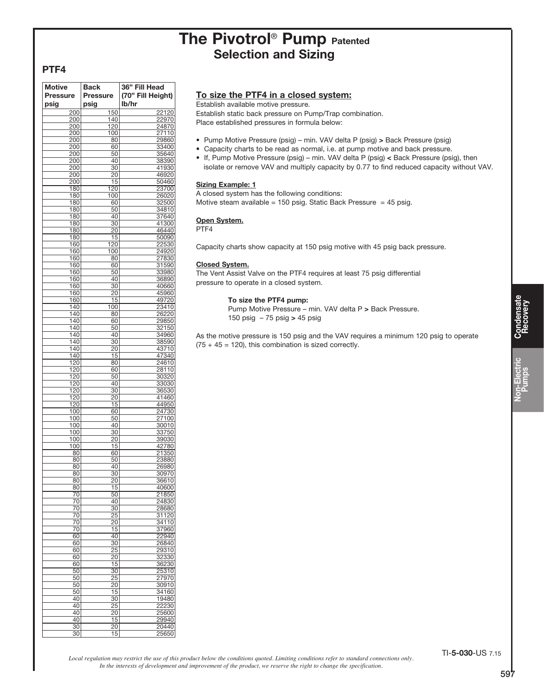## The Pivotrol<sup>®</sup> Pump Patented Selection and Sizing

#### PTF4

| <b>Motive</b><br><b>Pressure</b><br>psig | <b>Back</b><br><b>Pressure</b><br>psig | 36" Fill Head<br>(70" Fill Height)<br>lb/hr |
|------------------------------------------|----------------------------------------|---------------------------------------------|
| 200                                      | 150                                    | 22120                                       |
| 200                                      | 140                                    | 22970                                       |
| 200                                      |                                        | 24870                                       |
|                                          | 120                                    |                                             |
| 200                                      | 100                                    | 27110                                       |
| 200                                      | 80                                     | 29860                                       |
| 200                                      | 60                                     | 33400                                       |
| 200                                      | 50                                     | 35640                                       |
|                                          |                                        |                                             |
| 200                                      | 40                                     | 38390                                       |
| 200                                      | 30                                     | 41930                                       |
| 200                                      | 20                                     | 46920                                       |
| 200                                      | 15                                     | 50460                                       |
| 180                                      | 120                                    | 23700                                       |
|                                          |                                        |                                             |
| 180                                      | 100                                    | 26020                                       |
| 180                                      | 60                                     | 32500                                       |
| 180                                      | 50                                     | 34810                                       |
| 180                                      | 40                                     | 37640                                       |
| 180                                      | 30                                     | 41300                                       |
|                                          |                                        |                                             |
| 180                                      | 20                                     | 46440                                       |
| 180                                      | 15                                     | 50090                                       |
| 160                                      | 120                                    | 22530                                       |
| 160                                      | 100                                    | 24920                                       |
|                                          |                                        |                                             |
| 160                                      | 80                                     | 27830                                       |
| 160                                      | 60                                     | 31590                                       |
| 160                                      | 50                                     | 33980                                       |
| 160                                      | 40                                     | 36890                                       |
|                                          |                                        |                                             |
| 160                                      | 30                                     | 40660                                       |
| 160                                      | 20                                     | 45960                                       |
| 160                                      | 15                                     | 49720                                       |
| 140                                      | 100                                    | 23410                                       |
| 140                                      | 80                                     | 26220                                       |
|                                          |                                        |                                             |
| 140                                      | 60                                     | 29850                                       |
| 140                                      | 50                                     | 32150                                       |
| 140                                      | 40                                     | 34960                                       |
| 140                                      | $\overline{30}$                        | 38590                                       |
| $\frac{1}{140}$                          | $\overline{20}$                        |                                             |
|                                          |                                        | 43710                                       |
| 140                                      | 15                                     | 47340                                       |
| 120                                      | 80                                     | 24610                                       |
| 120                                      | 60                                     | 28110                                       |
| 120                                      | 50                                     | 30320                                       |
|                                          |                                        |                                             |
| 120                                      | 40                                     | 33030                                       |
| 120                                      | $\overline{30}$                        | 36530                                       |
| 120                                      | 20                                     | 41460                                       |
| 120                                      | 15                                     | 44950                                       |
| 100                                      | 60                                     | 24730                                       |
|                                          |                                        |                                             |
| 100                                      | 50                                     | 27100                                       |
| 100                                      | 40                                     | 30010                                       |
| 100                                      | 30                                     | 33750                                       |
| 100                                      | 20                                     | 39030                                       |
|                                          |                                        |                                             |
| 100                                      | 15                                     | 42780                                       |
| 80                                       | 60                                     | 21350                                       |
| 80                                       | 50                                     | 23880                                       |
| 80                                       | 40                                     | 26980                                       |
|                                          |                                        |                                             |
| 80                                       | 30                                     | 30970                                       |
| 80                                       | 20                                     | <u>36610</u>                                |
| 80                                       | 15                                     | 40600                                       |
| 70                                       | 50                                     | 21850                                       |
|                                          |                                        |                                             |
| 70                                       | 40                                     | 24830                                       |
| 70                                       | 30                                     | 28680                                       |
| 70                                       | 25                                     | 31120                                       |
| 70                                       | 20                                     | 34110                                       |
|                                          |                                        |                                             |
| 70                                       | 15                                     | 37960                                       |
| 60                                       | 40                                     | 22940                                       |
| 60                                       | $\overline{30}$                        | 26840                                       |
| 60                                       | 25                                     | 29310                                       |
| 60                                       | 20                                     | 32330                                       |
|                                          |                                        |                                             |
| 60                                       | 15                                     | 36230                                       |
| 50                                       | $\overline{30}$                        | 25310                                       |
| 50                                       | 25                                     | 27970                                       |
|                                          |                                        |                                             |
| 50                                       | 20                                     | 30910                                       |
| 50                                       | 15                                     | 34160                                       |
| 40                                       | $\overline{30}$                        | 19480                                       |
| 40                                       | 25                                     | 22230                                       |
|                                          |                                        |                                             |
| 40                                       | 20                                     | 25600                                       |
| 40                                       | 15                                     | 29940                                       |
| 30                                       | 20                                     | 20440                                       |
| 30                                       | 15                                     | 25650                                       |
|                                          |                                        |                                             |

#### To size the PTF4 in a closed system:

Establish available motive pressure.

Establish static back pressure on Pump/Trap combination. Place established pressures in formula below:

- Pump Motive Pressure (psig) min. VAV delta P (psig) > Back Pressure (psig)
- Capacity charts to be read as normal, i.e. at pump motive and back pressure.
- If, Pump Motive Pressure (psig) min. VAV delta P (psig) < Back Pressure (psig), then isolate or remove VAV and multiply capacity by 0.77 to find reduced capacity without VAV.

#### **Sizing Example: 1**

A closed system has the following conditions: Motive steam available = 150 psig. Static Back Pressure = 45 psig.

#### Open System.

PTF4

Capacity charts show capacity at 150 psig motive with 45 psig back pressure.

#### Closed System.

The Vent Assist Valve on the PTF4 requires at least 75 psig differential pressure to operate in a closed system.

> To size the PTF4 pump: Pump Motive Pressure – min. VAV delta P > Back Pressure.

150 psig – 75 psig > 45 psig

As the motive pressure is 150 psig and the VAV requires a minimum 120 psig to operate  $(75 + 45 = 120)$ , this combination is sized correctly.

*Local regulation may restrict the use of this product below the conditions quoted. Limiting conditions refer to standard connections only. In the interests of development and improvement of the product, we reserve the right to change the specification.*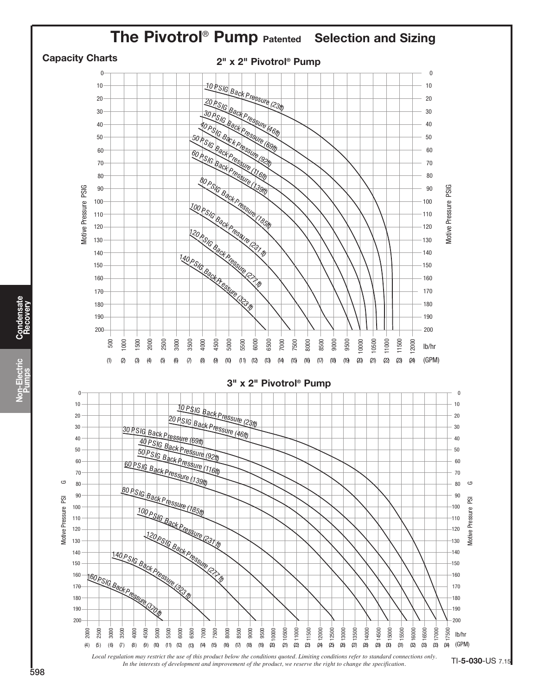

Condensate **Condensate**<br>Recovery Non-Electric Non-Electric<br>
Pumps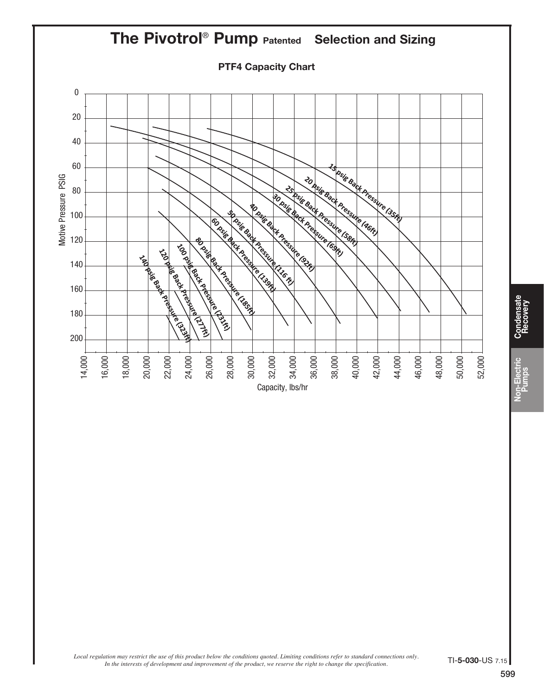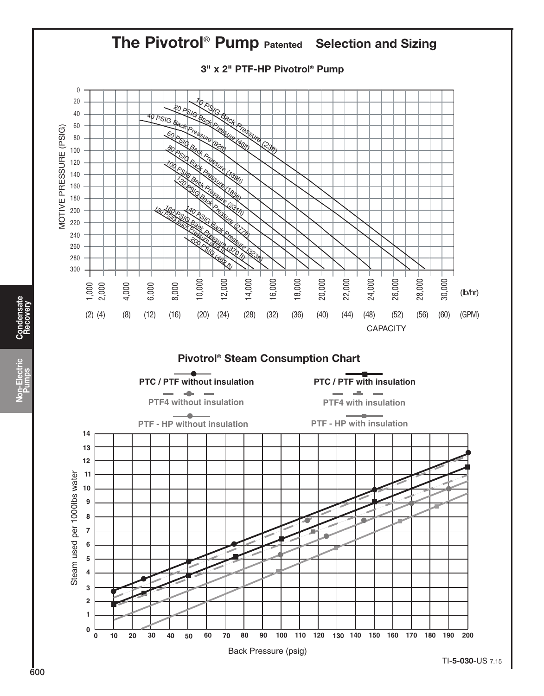

Condensate **Condensate**